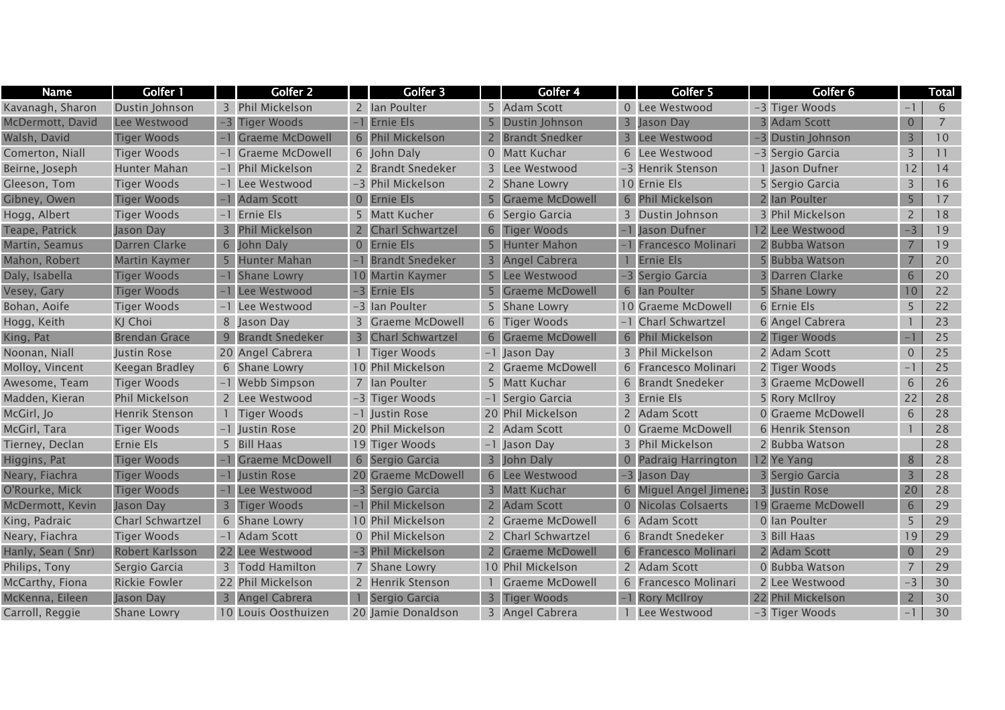| <b>Name</b>       | Golfer 1                |                | Golfer 2               |                | Golfer 3                |                | Golfer 4                | Golfer 5                  | Golfer 6           |                          | Total          |
|-------------------|-------------------------|----------------|------------------------|----------------|-------------------------|----------------|-------------------------|---------------------------|--------------------|--------------------------|----------------|
| Kavanagh, Sharon  | Dustin Johnson          | 3              | <b>Phil Mickelson</b>  |                | 2 Ian Poulter           |                | 5 Adam Scott            | 0 Lee Westwood            | -3 Tiger Woods     | $-1$                     | 6              |
| McDermott, David  | Lee Westwood            | $-3$           | <b>Tiger Woods</b>     |                | <b>Ernie Els</b>        |                | Dustin Johnson          | 3 Jason Day               | 3 Adam Scott       | $\overline{0}$           | $\overline{7}$ |
| Walsh, David      | <b>Tiger Woods</b>      |                | <b>Graeme McDowell</b> | 6              | <b>Phil Mickelson</b>   |                | <b>Brandt Snedker</b>   | 3 Lee Westwood            | -3 Dustin Johnson  | 3                        | 10             |
| Comerton, Niall   | <b>Tiger Woods</b>      |                | <b>Graeme McDowell</b> |                | 6 John Daly             | $\overline{0}$ | <b>Matt Kuchar</b>      | 6 Lee Westwood            | -3 Sergio Garcia   | 3                        | 11             |
| Beirne, Joseph    | Hunter Mahan            |                | -1 Phil Mickelson      |                | 2 Brandt Snedeker       |                | 3 Lee Westwood          | -3 Henrik Stenson         | 1 Jason Dufner     | 12                       | 14             |
| Gleeson, Tom      | <b>Tiger Woods</b>      |                | -1 Lee Westwood        |                | -3 Phil Mickelson       |                | 2 Shane Lowry           | 10 Ernie Els              | 5 Sergio Garcia    | $\overline{3}$           | 16             |
| Gibney, Owen      | <b>Tiger Woods</b>      |                | <b>Adam Scott</b>      | $\overline{0}$ | <b>Ernie Els</b>        | 5              | <b>Graeme McDowell</b>  | 6 Phil Mickelson          | 2 Ian Poulter      | 5 <sub>1</sub>           | 17             |
| Hogg, Albert      | <b>Tiger Woods</b>      |                | -1 Ernie Els           | 5              | <b>Matt Kucher</b>      | 6              | Sergio Garcia           | 3 Dustin Johnson          | 3 Phil Mickelson   | $\overline{2}$           | 18             |
| Teape, Patrick    | Jason Day               | $\overline{3}$ | <b>Phil Mickelson</b>  |                | <b>Charl Schwartzel</b> | 6              | <b>Tiger Woods</b>      | Jason Dufner              | 12 Lee Westwood    | $-3$                     | 19             |
| Martin, Seamus    | Darren Clarke           | 6              | John Daly              | $\overline{0}$ | Ernie Els               |                | <b>Hunter Mahon</b>     | <b>Francesco Molinari</b> | 2 Bubba Watson     |                          | 19             |
| Mahon, Robert     | <b>Martin Kaymer</b>    |                | <b>Hunter Mahan</b>    |                | <b>Brandt Snedeker</b>  | 3              | Angel Cabrera           | <b>Ernie Els</b>          | 5 Bubba Watson     |                          | 20             |
| Daly, Isabella    | Tiger Woods             |                | <b>Shane Lowry</b>     | 10             | <b>Martin Kaymer</b>    |                | Lee Westwood            | -3 Sergio Garcia          | Darren Clarke      | 6                        | 20             |
| Vesey, Gary       | <b>Tiger Woods</b>      |                | Lee Westwood           | $-3$           | <b>Ernie Els</b>        |                | <b>Graeme McDowell</b>  | 6 Ian Poulter             | 5 Shane Lowry      | 10                       | 22             |
| Bohan, Aoife      | <b>Tiger Woods</b>      |                | -1 Lee Westwood        |                | -3 Ian Poulter          | 5.             | Shane Lowry             | 10 Graeme McDowell        | 6 Ernie Els        | 5                        | 22             |
| Hogg, Keith       | KJ Choi                 |                | 8 Jason Day            |                | <b>Graeme McDowell</b>  | 6              | Tiger Woods             | -1 Charl Schwartzel       | 6 Angel Cabrera    |                          | 23             |
| King, Pat         | <b>Brendan Grace</b>    | 9              | <b>Brandt Snedeker</b> | 3              | <b>Charl Schwartzel</b> |                | 6 Graeme McDowell       | 6 Phil Mickelson          | 2 Tiger Woods      | $-1$                     | 25             |
| Noonan, Niall     | Justin Rose             |                | 20 Angel Cabrera       |                | <b>Tiger Woods</b>      |                | -1 Jason Day            | 3 Phil Mickelson          | 2 Adam Scott       | $\overline{0}$           | 25             |
| Molloy, Vincent   | Keegan Bradley          |                | 6 Shane Lowry          |                | 10 Phil Mickelson       |                | <b>Graeme McDowell</b>  | 6 Francesco Molinari      | 2 Tiger Woods      | $\overline{\phantom{0}}$ | 25             |
| Awesome, Team     | <b>Tiger Woods</b>      |                | -1 Webb Simpson        |                | 7 Ian Poulter           | 5              | <b>Matt Kuchar</b>      | 6 Brandt Snedeker         | 3 Graeme McDowell  | 6                        | 26             |
| Madden, Kieran    | Phil Mickelson          |                | 2 Lee Westwood         |                | -3 Tiger Woods          |                | -1 Sergio Garcia        | 3 Ernie Els               | 5 Rory McIlroy     | 22                       | 28             |
| McGirl, Jo        | <b>Henrik Stenson</b>   |                | <b>Tiger Woods</b>     |                | -1 Justin Rose          |                | 20 Phil Mickelson       | 2 Adam Scott              | 0 Graeme McDowell  | 6                        | 28             |
| McGirl, Tara      | <b>Tiger Woods</b>      |                | -1 Iustin Rose         |                | 20 Phil Mickelson       |                | 2 Adam Scott            | 0 Graeme McDowell         | 6 Henrik Stenson   |                          | 28             |
| Tierney, Declan   | Ernie Els               |                | 5 Bill Haas            |                | 19 Tiger Woods          |                | -1 Jason Day            | 3 Phil Mickelson          | 2 Bubba Watson     |                          | 28             |
| Higgins, Pat      | <b>Tiger Woods</b>      |                | <b>Graeme McDowell</b> | 6              | Sergio Garcia           | $\overline{3}$ | John Daly               | 0 Padraig Harrington      | 12 Ye Yang         | 8                        | 28             |
| Neary, Fiachra    | <b>Tiger Woods</b>      |                | Justin Rose            |                | <b>Graeme McDowell</b>  | 6              | Lee Westwood            | -3 Jason Day              | 3 Sergio Garcia    |                          | 28             |
| O'Rourke, Mick    | <b>Tiger Woods</b>      |                | Lee Westwood           | $-3$           | Sergio Garcia           | 3              | <b>Matt Kuchar</b>      | 6 Miguel Angel Jimenez    | 3 Justin Rose      | 20                       | 28             |
| McDermott, Kevin  | Jason Day               | 3              | <b>Tiger Woods</b>     |                | <b>Phil Mickelson</b>   |                | Adam Scott              | 0 Nicolas Colsaerts       | 19 Graeme McDowell | 6                        | 29             |
| King, Padraic     | <b>Charl Schwartzel</b> |                | 6 Shane Lowry          |                | 10 Phil Mickelson       | 2              | <b>Graeme McDowell</b>  | 6 Adam Scott              | 0 Ian Poulter      | 5                        | 29             |
| Neary, Fiachra    | <b>Tiger Woods</b>      |                | -1 Adam Scott          |                | 0 Phil Mickelson        |                | <b>Charl Schwartzel</b> | 6 Brandt Snedeker         | 3 Bill Haas        | 19                       | 29             |
| Hanly, Sean (Snr) | Robert Karlsson         |                | 22 Lee Westwood        |                | <b>Phil Mickelson</b>   |                | <b>Graeme McDowell</b>  | 6 Francesco Molinari      | 2 Adam Scott       | $\overline{0}$           | 29             |
| Philips, Tony     | Sergio Garcia           |                | 3 Todd Hamilton        |                | Shane Lowry             |                | 10 Phil Mickelson       | 2 Adam Scott              | 0 Bubba Watson     | $\overline{7}$           | 29             |
| McCarthy, Fiona   | <b>Rickie Fowler</b>    |                | 22 Phil Mickelson      |                | <b>Henrik Stenson</b>   |                | <b>Graeme McDowell</b>  | 6 Francesco Molinari      | 2 Lee Westwood     | $-3$                     | 30             |
| McKenna, Eileen   | Jason Day               | 3 <sup>1</sup> | Angel Cabrera          |                | Sergio Garcia           |                | <b>Tiger Woods</b>      | -1 Rory McIlroy           | 22 Phil Mickelson  | $\overline{2}$           | 30             |
| Carroll, Reggie   | <b>Shane Lowry</b>      |                | 10 Louis Oosthuizen    |                | 20 Jamie Donaldson      |                | 3 Angel Cabrera         | 1 Lee Westwood            | -3 Tiger Woods     | $-1$                     | 30             |
|                   |                         |                |                        |                |                         |                |                         |                           |                    |                          |                |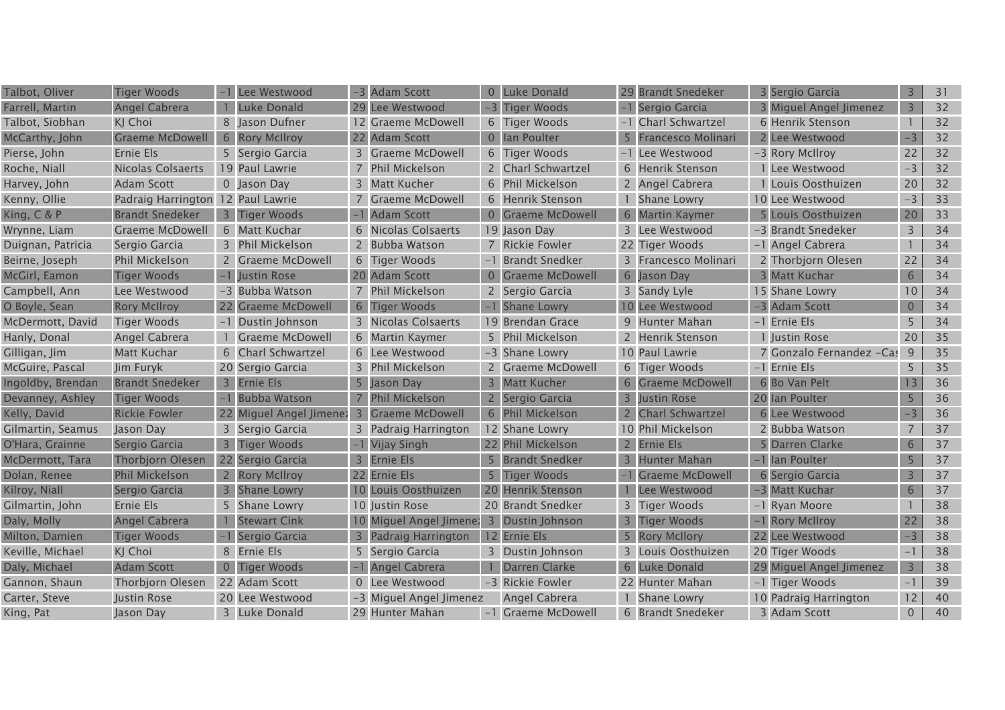| Talbot, Oliver    | <b>Tiger Woods</b>                |                | Lee Westwood              | $-3$                    | <b>Adam Scott</b>       |   | 0 Luke Donald         |                | 29 Brandt Snedeker        | 3 Sergio Garcia          | $\overline{3}$ | 31 |
|-------------------|-----------------------------------|----------------|---------------------------|-------------------------|-------------------------|---|-----------------------|----------------|---------------------------|--------------------------|----------------|----|
| Farrell, Martin   | Angel Cabrera                     |                | <b>Luke Donald</b>        |                         | 29 Lee Westwood         |   | -3 Tiger Woods        |                | -1 Sergio Garcia          | 3 Miguel Angel Jimenez   | $\overline{3}$ | 32 |
| Talbot, Siobhan   | KJ Choi                           |                | 8 Jason Dufner            |                         | 12 Graeme McDowell      |   | 6 Tiger Woods         |                | -1 Charl Schwartzel       | 6 Henrik Stenson         |                | 32 |
| McCarthy, John    | <b>Graeme McDowell</b>            |                | 6 Rory McIlroy            |                         | 22 Adam Scott           |   | 0 Ian Poulter         |                | <b>Francesco Molinari</b> | 2 Lee Westwood           | $-3$           | 32 |
| Pierse, John      | Ernie Els                         |                | 5 Sergio Garcia           |                         | 3 Graeme McDowell       |   | 6 Tiger Woods         |                | -1 Lee Westwood           | -3 Rory McIlroy          | 22             | 32 |
| Roche, Niall      | <b>Nicolas Colsaerts</b>          |                | 19 Paul Lawrie            | 7                       | <b>Phil Mickelson</b>   |   | 2 Charl Schwartzel    |                | 6 Henrik Stenson          | 1 Lee Westwood           | $-3$           | 32 |
| Harvey, John      | <b>Adam Scott</b>                 |                | 0 Jason Day               |                         | 3 Matt Kucher           |   | 6 Phil Mickelson      |                | 2 Angel Cabrera           | 1 Louis Oosthuizen       | 20             | 32 |
| Kenny, Ollie      | Padraig Harrington 12 Paul Lawrie |                |                           |                         | <b>Graeme McDowell</b>  |   | 6 Henrik Stenson      |                | Shane Lowry               | 10 Lee Westwood          | $-3$           | 33 |
| King, C & P       | <b>Brandt Snedeker</b>            | 3 <sup>1</sup> | <b>Tiger Woods</b>        |                         | <b>Adam Scott</b>       |   | 0 Graeme McDowell     |                | 6 Martin Kaymer           | 5 Louis Oosthuizen       | 20             | 33 |
| Wrynne, Liam      | <b>Graeme McDowell</b>            |                | 6 Matt Kuchar             |                         | Nicolas Colsaerts       |   | 19 Jason Day          |                | 3 Lee Westwood            | -3 Brandt Snedeker       | 3              | 34 |
| Duignan, Patricia | Sergio Garcia                     |                | 3 Phil Mickelson          |                         | 2 Bubba Watson          |   | 7 Rickie Fowler       |                | 22 Tiger Woods            | -1 Angel Cabrera         |                | 34 |
| Beirne, Joseph    | Phil Mickelson                    |                | <b>Graeme McDowell</b>    |                         | 6 Tiger Woods           |   | -1 Brandt Snedker     |                | 3 Francesco Molinari      | 2 Thorbjorn Olesen       | 22             | 34 |
| McGirl, Eamon     | <b>Tiger Woods</b>                |                | <b>Justin Rose</b>        |                         | 20 Adam Scott           |   | 0 Graeme McDowell     |                | 6 Jason Day               | 3 Matt Kuchar            | 6              | 34 |
| Campbell, Ann     | Lee Westwood                      |                | -3 Bubba Watson           |                         | 7 Phil Mickelson        |   | 2 Sergio Garcia       |                | 3 Sandy Lyle              | 15 Shane Lowry           | 10             | 34 |
| O Boyle, Sean     | <b>Rory McIlroy</b>               |                | 22 Graeme McDowell        |                         | 6 Tiger Woods           |   | Shane Lowry           |                | 10 Lee Westwood           | -3 Adam Scott            | $\overline{0}$ | 34 |
| McDermott, David  | <b>Tiger Woods</b>                |                | Dustin Johnson            |                         | 3 Nicolas Colsaerts     |   | 19 Brendan Grace      |                | 9 Hunter Mahan            | -1 Ernie Els             | 5              | 34 |
| Hanly, Donal      | Angel Cabrera                     |                | <b>Graeme McDowell</b>    |                         | 6 Martin Kaymer         |   | 5 Phil Mickelson      |                | 2 Henrik Stenson          | 1 Justin Rose            | 20             | 35 |
| Gilligan, Jim     | Matt Kuchar                       |                | <b>Charl Schwartzel</b>   |                         | 6 Lee Westwood          |   | -3 Shane Lowry        |                | 10 Paul Lawrie            | 7 Gonzalo Fernandez -Cas | 9              | 35 |
| McGuire, Pascal   | Jim Furyk                         |                | 20 Sergio Garcia          |                         | 3 Phil Mickelson        |   | 2 Graeme McDowell     |                | 6 Tiger Woods             | -1 Ernie Els             | 5              | 35 |
| Ingoldby, Brendan | <b>Brandt Snedeker</b>            | 3 <sup>1</sup> | Ernie Els                 | 5                       | Jason Day               |   | 3 Matt Kucher         |                | 6 Graeme McDowell         | 6 Bo Van Pelt            | 13             | 36 |
| Devanney, Ashley  | <b>Tiger Woods</b>                |                | <b>Bubba Watson</b>       |                         | 7 Phil Mickelson        |   | 2 Sergio Garcia       |                | 3 Justin Rose             | 20 Ian Poulter           | 5              | 36 |
| Kelly, David      | <b>Rickie Fowler</b>              |                | 22 Miguel Angel Jimenez 3 |                         | <b>Graeme McDowell</b>  |   | 6 Phil Mickelson      | 2 <sup>1</sup> | <b>Charl Schwartzel</b>   | 6 Lee Westwood           | $-3$           | 36 |
| Gilmartin, Seamus | Jason Day                         | 3              | Sergio Garcia             |                         | 3 Padraig Harrington    |   | 12 Shane Lowry        |                | 10 Phil Mickelson         | 2 Bubba Watson           | $\overline{7}$ | 37 |
| O'Hara, Grainne   | Sergio Garcia                     | $\overline{3}$ | <b>Tiger Woods</b>        |                         | Vijay Singh             |   | 22 Phil Mickelson     |                | 2 Ernie Els               | 5 Darren Clarke          | 6              | 37 |
| McDermott, Tara   | <b>Thorbjorn Olesen</b>           |                | 22 Sergio Garcia          | $\overline{3}$          | <b>Ernie Els</b>        | 5 | <b>Brandt Snedker</b> | 3 <sup>1</sup> | <b>Hunter Mahan</b>       | -1 Ian Poulter           | 5              | 37 |
| Dolan, Renee      | <b>Phil Mickelson</b>             |                | <b>Rory McIlroy</b>       |                         | 22 Ernie Els            |   | 5 Tiger Woods         |                | <b>Graeme McDowell</b>    | 6 Sergio Garcia          | 3              | 37 |
| Kilroy, Niall     | Sergio Garcia                     |                | <b>Shane Lowry</b>        | 10                      | Louis Oosthuizen        |   | 20 Henrik Stenson     |                | Lee Westwood              | -3 Matt Kuchar           | 6              | 37 |
| Gilmartin, John   | Ernie Els                         |                | 5 Shane Lowry             |                         | 10 Justin Rose          |   | 20 Brandt Snedker     |                | 3 Tiger Woods             | -1 Ryan Moore            |                | 38 |
| Daly, Molly       | Angel Cabrera                     |                | <b>Stewart Cink</b>       | $10^{\circ}$            | Miguel Angel Jimene:    |   | 3 Dustin Johnson      | 3 <sup>1</sup> | <b>Tiger Woods</b>        | -1 Rory McIlroy          | 22             | 38 |
| Milton, Damien    | <b>Tiger Woods</b>                |                | Sergio Garcia             | $\overline{\mathbf{3}}$ | Padraig Harrington      |   | 12 Ernie Els          | 5 <sup>1</sup> | <b>Rory McIlory</b>       | 22 Lee Westwood          | $-3$           | 38 |
| Keville, Michael  | KJ Choi                           | 8              | Ernie Els                 | 5                       | Sergio Garcia           |   | 3 Dustin Johnson      |                | 3 Louis Oosthuizen        | 20 Tiger Woods           | $-1$           | 38 |
| Daly, Michael     | <b>Adam Scott</b>                 | $0-1$          | <b>Tiger Woods</b>        |                         | Angel Cabrera           |   | Darren Clarke         |                | 6 Luke Donald             | 29 Miguel Angel Jimenez  | $\overline{3}$ | 38 |
| Gannon, Shaun     | Thorbjorn Olesen                  |                | 22 Adam Scott             |                         | Lee Westwood            |   | -3 Rickie Fowler      |                | 22 Hunter Mahan           | -1 Tiger Woods           | $-1$           | 39 |
| Carter, Steve     | Justin Rose                       |                | 20 Lee Westwood           |                         | -3 Miguel Angel Jimenez |   | Angel Cabrera         |                | Shane Lowry               | 10 Padraig Harrington    | 12             | 40 |
| King, Pat         | Jason Day                         |                | 3 Luke Donald             |                         | 29 Hunter Mahan         |   | -1 Graeme McDowell    |                | 6 Brandt Snedeker         | 3 Adam Scott             | $\overline{0}$ | 40 |
|                   |                                   |                |                           |                         |                         |   |                       |                |                           |                          |                |    |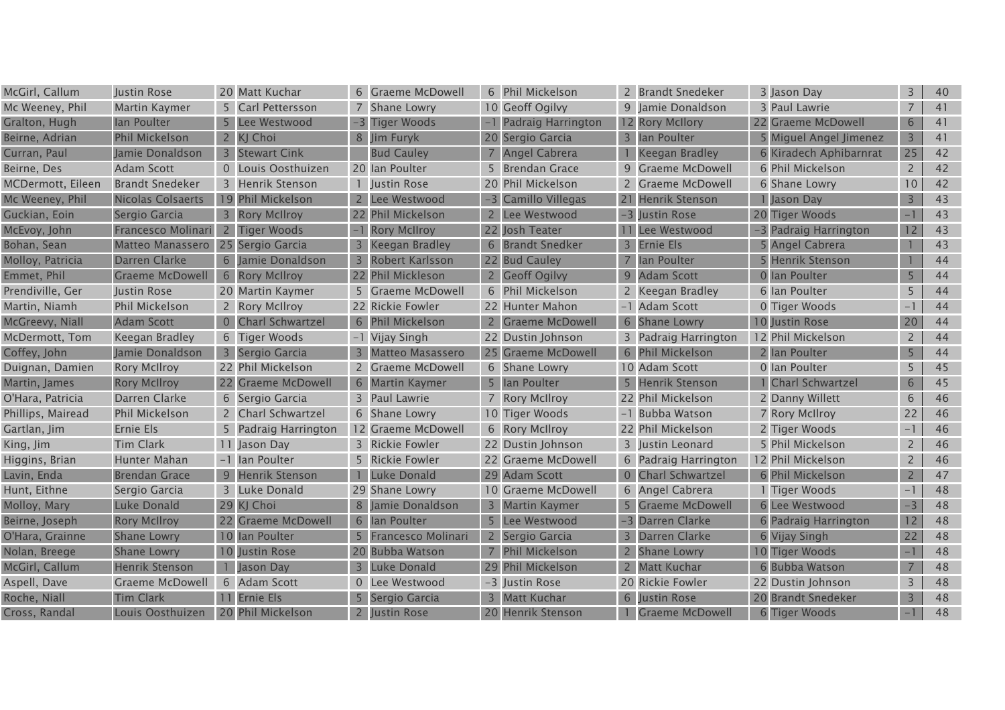| McGirl, Callum    | Justin Rose             |                | 20 Matt Kuchar          | 6.             | Graeme McDowell         | 6 Phil Mickelson      |                | 2 Brandt Snedeker    | 3 Jason Day            | 3              | 40 |
|-------------------|-------------------------|----------------|-------------------------|----------------|-------------------------|-----------------------|----------------|----------------------|------------------------|----------------|----|
| Mc Weeney, Phil   | Martin Kaymer           |                | 5 Carl Pettersson       |                | Shane Lowry             | 10 Geoff Ogilvy       |                | 9 Jamie Donaldson    | 3 Paul Lawrie          |                | 41 |
| Gralton, Hugh     | lan Poulter             |                | Lee Westwood            | $-3$           | <b>Tiger Woods</b>      | -1 Padraig Harrington |                | 12 Rory McIlory      | 22 Graeme McDowell     | 6              | 41 |
| Beirne, Adrian    | <b>Phil Mickelson</b>   | $\mathsf{Z}$   | KJ Choi                 |                | 8 Jim Furyk             | 20 Sergio Garcia      |                | 3 Ian Poulter        | 5 Miguel Angel Jimenez | 3              | 41 |
| Curran, Paul      | Jamie Donaldson         |                | 3 Stewart Cink          |                | <b>Bud Cauley</b>       | 7 Angel Cabrera       |                | Keegan Bradley       | 6 Kiradech Aphibarnrat | 25             | 42 |
| Beirne, Des       | <b>Adam Scott</b>       |                | 0 Louis Oosthuizen      |                | 20 Ian Poulter          | 5 Brendan Grace       |                | 9 Graeme McDowell    | 6 Phil Mickelson       | $\overline{2}$ | 42 |
| MCDermott, Eileen | <b>Brandt Snedeker</b>  |                | 3 Henrik Stenson        |                | Justin Rose             | 20 Phil Mickelson     |                | 2 Graeme McDowell    | 6 Shane Lowry          | 10             | 42 |
| Mc Weeney, Phil   | Nicolas Colsaerts       |                | 19 Phil Mickelson       |                | Lee Westwood            | -3 Camillo Villegas   |                | 21 Henrik Stenson    | 1 Jason Day            | $\overline{3}$ | 43 |
| Guckian, Eoin     | Sergio Garcia           |                | 3 Rory McIlroy          |                | 22 Phil Mickelson       | 2 Lee Westwood        |                | -3 Justin Rose       | 20 Tiger Woods         |                | 43 |
| McEvoy, John      | Francesco Molinari      | $2^{\circ}$    | <b>Tiger Woods</b>      |                | <b>Rory McIlroy</b>     | 22 Josh Teater        |                | 11 Lee Westwood      | -3 Padraig Harrington  | 12             | 43 |
| Bohan, Sean       | <b>Matteo Manassero</b> | 25             | Sergio Garcia           |                | <b>Keegan Bradley</b>   | 6 Brandt Snedker      |                | 3 Ernie Els          | <b>Angel Cabrera</b>   |                | 43 |
| Molloy, Patricia  | Darren Clarke           |                | Jamie Donaldson         | $\overline{3}$ | Robert Karlsson         | 22 Bud Cauley         |                | Ian Poulter          | <b>Henrik Stenson</b>  |                | 44 |
| Emmet, Phil       | <b>Graeme McDowell</b>  |                | 6 Rory McIlroy          |                | 22 Phil Mickleson       | 2 Geoff Ogilvy        |                | 9 Adam Scott         | 0 Ian Poulter          | 5              | 44 |
| Prendiville, Ger  | Justin Rose             |                | 20 Martin Kaymer        |                | 5 Graeme McDowell       | 6 Phil Mickelson      |                | 2 Keegan Bradley     | 6 Ian Poulter          | 5              | 44 |
| Martin, Niamh     | <b>Phil Mickelson</b>   |                | 2 Rory McIlroy          |                | 22 Rickie Fowler        | 22 Hunter Mahon       |                | -1 Adam Scott        | 0 Tiger Woods          |                | 44 |
| McGreevy, Niall   | <b>Adam Scott</b>       | $\overline{0}$ | <b>Charl Schwartzel</b> | 6              | <b>Phil Mickelson</b>   | 2 Graeme McDowell     |                | 6 Shane Lowry        | 10 Justin Rose         | 20             | 44 |
| McDermott, Tom    | Keegan Bradley          |                | 6 Tiger Woods           |                | -1 Vijay Singh          | 22 Dustin Johnson     |                | 3 Padraig Harrington | 12 Phil Mickelson      | $\overline{2}$ | 44 |
| Coffey, John      | Jamie Donaldson         | 3 <sup>1</sup> | Sergio Garcia           |                | <b>Matteo Masassero</b> | 25 Graeme McDowell    |                | 6 Phil Mickelson     | 2 Ian Poulter          | 5              | 44 |
| Duignan, Damien   | <b>Rory McIlroy</b>     |                | 22 Phil Mickelson       |                | 2 Graeme McDowell       | 6 Shane Lowry         |                | 10 Adam Scott        | 0 Ian Poulter          | 5              | 45 |
| Martin, James     | <b>Rory McIlroy</b>     |                | 22 Graeme McDowell      |                | 6 Martin Kaymer         | 5 Ian Poulter         |                | 5 Henrik Stenson     | 1 Charl Schwartzel     | 6              | 45 |
| O'Hara, Patricia  | Darren Clarke           |                | 6 Sergio Garcia         |                | 3 Paul Lawrie           | 7 Rory McIlroy        |                | 22 Phil Mickelson    | 2 Danny Willett        | 6              | 46 |
| Phillips, Mairead | <b>Phil Mickelson</b>   |                | 2 Charl Schwartzel      |                | 6 Shane Lowry           | 10 Tiger Woods        |                | -1 Bubba Watson      | 7 Rory McIlroy         | 22             | 46 |
| Gartlan, Jim      | Ernie Els               | 5              | Padraig Harrington      |                | 12 Graeme McDowell      | 6 Rory McIlroy        |                | 22 Phil Mickelson    | 2 Tiger Woods          | $-1$           | 46 |
| King, Jim         | <b>Tim Clark</b>        |                | 11 Jason Day            |                | 3 Rickie Fowler         | 22 Dustin Johnson     |                | 3 Justin Leonard     | 5 Phil Mickelson       | 2              | 46 |
| Higgins, Brian    | Hunter Mahan            |                | -1 Ian Poulter          |                | 5 Rickie Fowler         | 22 Graeme McDowell    |                | 6 Padraig Harrington | 12 Phil Mickelson      | 2              | 46 |
| Lavin, Enda       | <b>Brendan Grace</b>    | 9              | <b>Henrik Stenson</b>   |                | Luke Donald             | 29 Adam Scott         |                | 0 Charl Schwartzel   | 6 Phil Mickelson       | 2              | 47 |
| Hunt, Eithne      | Sergio Garcia           |                | 3 Luke Donald           |                | 29 Shane Lowry          | 10 Graeme McDowell    |                | 6 Angel Cabrera      | 1 Tiger Woods          |                | 48 |
| Molloy, Mary      | Luke Donald             |                | 29 KJ Choi              | 8              | Jamie Donaldson         | 3 Martin Kaymer       |                | 5 Graeme McDowell    | 6 Lee Westwood         | $-3$           | 48 |
| Beirne, Joseph    | <b>Rory McIlroy</b>     |                | 22 Graeme McDowell      | 6              | lan Poulter             | 5 Lee Westwood        |                | -3 Darren Clarke     | 6 Padraig Harrington   | 12             | 48 |
| O'Hara, Grainne   | <b>Shane Lowry</b>      |                | 10 Ian Poulter          |                | Francesco Molinari      | 2 Sergio Garcia       |                | 3 Darren Clarke      | 6 Vijay Singh          | 22             | 48 |
| Nolan, Breege     | <b>Shane Lowry</b>      |                | 10 Justin Rose          | 20             | <b>Bubba Watson</b>     | 7 Phil Mickelson      | $\overline{2}$ | <b>Shane Lowry</b>   | 10 Tiger Woods         |                | 48 |
| McGirl, Callum    | <b>Henrik Stenson</b>   |                | <b>Jason Day</b>        |                | <b>Luke Donald</b>      | 29 Phil Mickelson     |                | 2 Matt Kuchar        | 6 Bubba Watson         |                | 48 |
| Aspell, Dave      | <b>Graeme McDowell</b>  |                | 6 Adam Scott            |                | Lee Westwood            | -3 Justin Rose        |                | 20 Rickie Fowler     | 22 Dustin Johnson      | 3              | 48 |
| Roche, Niall      | <b>Tim Clark</b>        |                | 11 Ernie Els            |                | Sergio Garcia           | 3 Matt Kuchar         |                | 6 Iustin Rose        | 20 Brandt Snedeker     | 3              | 48 |
| Cross, Randal     | Louis Oosthuizen        |                | 20 Phil Mickelson       | $2^{\circ}$    | Justin Rose             | 20 Henrik Stenson     |                | 1 Graeme McDowell    | 6 Tiger Woods          | $-1$           | 48 |
|                   |                         |                |                         |                |                         |                       |                |                      |                        |                |    |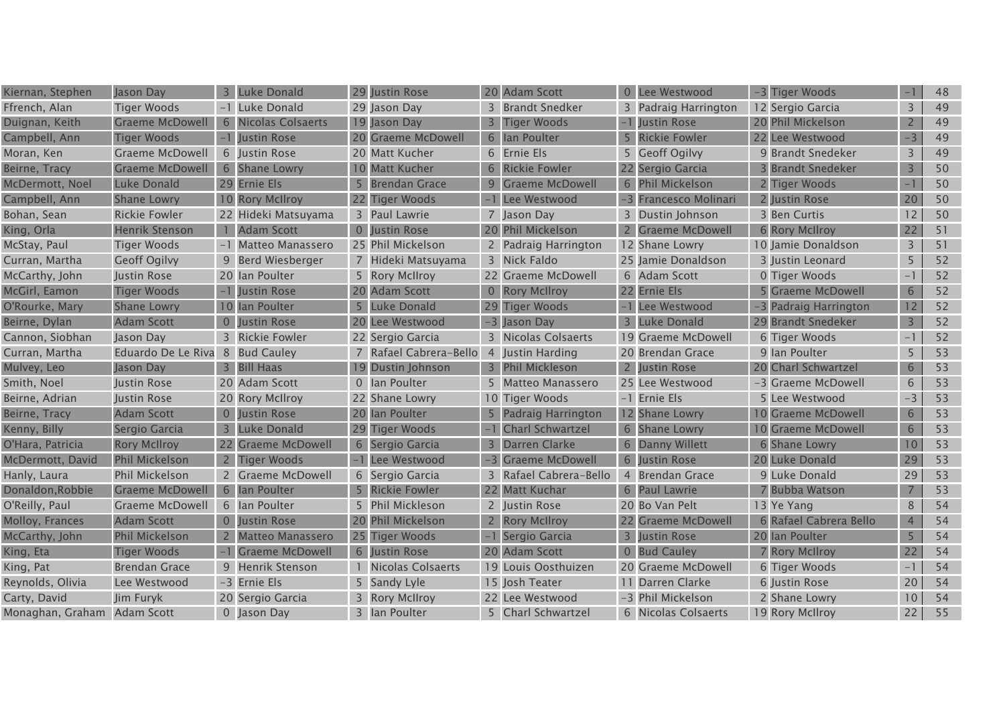| Kiernan, Stephen            | Jason Day              | 3              | Luke Donald             |                | 29 Justin Rose        | 20 Adam Scott          | 0 Lee Westwood        | -3 Tiger Woods           |                | 48 |
|-----------------------------|------------------------|----------------|-------------------------|----------------|-----------------------|------------------------|-----------------------|--------------------------|----------------|----|
| Ffrench, Alan               | <b>Tiger Woods</b>     |                | -1 Luke Donald          |                | 29 Jason Day          | 3 Brandt Snedker       | 3 Padraig Harrington  | 12 Sergio Garcia         | 3              | 49 |
| Duignan, Keith              | <b>Graeme McDowell</b> |                | 6 Nicolas Colsaerts     |                | 19 Jason Day          | 3 Tiger Woods          | Justin Rose           | 20 Phil Mickelson        | $\overline{2}$ | 49 |
| Campbell, Ann               | <b>Tiger Woods</b>     |                | Justin Rose             |                | 20 Graeme McDowell    | 6 Ian Poulter          | 5 Rickie Fowler       | 22 Lee Westwood          | $-3$           | 49 |
| Moran, Ken                  | <b>Graeme McDowell</b> |                | 6 Justin Rose           |                | 20 Matt Kucher        | 6 Ernie Els            | 5 Geoff Ogilvy        | 9 Brandt Snedeker        | 3              | 49 |
| Beirne, Tracy               | <b>Graeme McDowell</b> |                | 6 Shane Lowry           |                | 10 Matt Kucher        | 6 Rickie Fowler        | 22 Sergio Garcia      | <b>3 Brandt Snedeker</b> | $\overline{3}$ | 50 |
| McDermott, Noel             | Luke Donald            |                | 29 Ernie Els            | 5              | <b>Brendan Grace</b>  | 9 Graeme McDowell      | 6 Phil Mickelson      | 2 Tiger Woods            | $-1$           | 50 |
| Campbell, Ann               | <b>Shane Lowry</b>     |                | 10 Rory McIlroy         |                | 22 Tiger Woods        | -1 Lee Westwood        | -3 Francesco Molinari | 2 Justin Rose            | 20             | 50 |
| Bohan, Sean                 | <b>Rickie Fowler</b>   |                | 22 Hideki Matsuyama     |                | 3 Paul Lawrie         | 7 Jason Day            | 3 Dustin Johnson      | 3 Ben Curtis             | 12             | 50 |
| King, Orla                  | <b>Henrik Stenson</b>  |                | <b>Adam Scott</b>       | $\overline{0}$ | <b>Justin Rose</b>    | 20 Phil Mickelson      | 2 Graeme McDowell     | <b>6 Rory McIlroy</b>    | 22             | 51 |
| McStay, Paul                | <b>Tiger Woods</b>     |                | Matteo Manassero        |                | 25 Phil Mickelson     | 2 Padraig Harrington   | 12 Shane Lowry        | 10 Jamie Donaldson       | 3              | 51 |
| Curran, Martha              | <b>Geoff Ogilvy</b>    |                | 9 Berd Wiesberger       |                | 7 Hideki Matsuyama    | 3 Nick Faldo           | 25 Jamie Donaldson    | 3 Iustin Leonard         | 5              | 52 |
| McCarthy, John              | Justin Rose            |                | 20 Ian Poulter          |                | 5 Rory McIIroy        | 22 Graeme McDowell     | 6 Adam Scott          | 0 Tiger Woods            | $-1$           | 52 |
| McGirl, Eamon               | <b>Tiger Woods</b>     |                | Justin Rose             |                | 20 Adam Scott         | 0 Rory McIlroy         | 22 Ernie Els          | <b>Graeme McDowell</b>   | $6\phantom{.}$ | 52 |
| O'Rourke, Mary              | <b>Shane Lowry</b>     |                | 10 Ian Poulter          | 5              | <b>Luke Donald</b>    | 29 Tiger Woods         | -1 Lee Westwood       | -3 Padraig Harrington    | 12             | 52 |
| Beirne, Dylan               | <b>Adam Scott</b>      | $\overline{0}$ | Justin Rose             | 20             | Lee Westwood          | -3 Jason Day           | 3 Luke Donald         | 29 Brandt Snedeker       | $\overline{3}$ | 52 |
| Cannon, Siobhan             | Jason Day              | 3              | Rickie Fowler           |                | 22 Sergio Garcia      | 3 Nicolas Colsaerts    | 19 Graeme McDowell    | 6 Tiger Woods            | $-1$           | 52 |
| Curran, Martha              | Eduardo De Le Riva     |                | 8 Bud Cauley            |                | Rafael Cabrera-Bello  | 4 Justin Harding       | 20 Brendan Grace      | 9 Ian Poulter            | 5              | 53 |
| Mulvey, Leo                 | Jason Day              |                | 3 Bill Haas             | 19             | Dustin Johnson        | 3 Phil Mickleson       | 2 Justin Rose         | 20 Charl Schwartzel      | 6              | 53 |
| Smith, Noel                 | Justin Rose            |                | 20 Adam Scott           |                | 0 Ian Poulter         | 5 Matteo Manassero     | 25 Lee Westwood       | -3 Graeme McDowell       | 6              | 53 |
| Beirne, Adrian              | Justin Rose            |                | 20 Rory McIlroy         |                | 22 Shane Lowry        | 10 Tiger Woods         | -1 Ernie Els          | 5 Lee Westwood           | $-3$           | 53 |
| Beirne, Tracy               | <b>Adam Scott</b>      | $\overline{0}$ | Justin Rose             |                | 20 Ian Poulter        | 5 Padraig Harrington   | 12 Shane Lowry        | 10 Graeme McDowell       | 6              | 53 |
| Kenny, Billy                | Sergio Garcia          | 3              | Luke Donald             |                | 29 Tiger Woods        | -1 Charl Schwartzel    | 6 Shane Lowry         | 10 Graeme McDowell       | 6              | 53 |
| O'Hara, Patricia            | <b>Rory McIlroy</b>    | 22             | <b>Graeme McDowell</b>  |                | 6 Sergio Garcia       | 3 Darren Clarke        | 6 Danny Willett       | 6 Shane Lowry            | 10             | 53 |
| McDermott, David            | <b>Phil Mickelson</b>  | $\mathbf{2}$   | <b>Tiger Woods</b>      |                | Lee Westwood          | -3 Graeme McDowell     | 6 Justin Rose         | 20 Luke Donald           | 29             | 53 |
| Hanly, Laura                | Phil Mickelson         |                | 2 Graeme McDowell       |                | 6 Sergio Garcia       | 3 Rafael Cabrera-Bello | 4 Brendan Grace       | 9 Luke Donald            | 29             | 53 |
| Donaldon, Robbie            | <b>Graeme McDowell</b> | 6 <sup>1</sup> | Ian Poulter             | 5              | <b>Rickie Fowler</b>  | 22 Matt Kuchar         | 6 Paul Lawrie         | 7 Bubba Watson           |                | 53 |
| O'Reilly, Paul              | <b>Graeme McDowell</b> |                | 6 Ian Poulter           | 5              | <b>Phil Mickleson</b> | 2 Justin Rose          | 20 Bo Van Pelt        | 13 Ye Yang               | 8              | 54 |
| Molloy, Frances             | <b>Adam Scott</b>      |                | <b>Iustin Rose</b>      |                | 20 Phil Mickelson     | 2 Rory McIlroy         | 22 Graeme McDowell    | 6 Rafael Cabrera Bello   | $\overline{4}$ | 54 |
| McCarthy, John              | Phil Mickelson         |                | <b>Matteo Manassero</b> |                | 25 Tiger Woods        | -1 Sergio Garcia       | 3 Justin Rose         | 20 Ian Poulter           | 5              | 54 |
| King, Eta                   | <b>Tiger Woods</b>     |                | <b>Graeme McDowell</b>  |                | 6 Justin Rose         | 20 Adam Scott          | 0 Bud Cauley          | 7 Rory McIlroy           | 22             | 54 |
| King, Pat                   | <b>Brendan Grace</b>   |                | 9 Henrik Stenson        |                | 1 Nicolas Colsaerts   | 19 Louis Oosthuizen    | 20 Graeme McDowell    | 6 Tiger Woods            | $-1$           | 54 |
| Reynolds, Olivia            | Lee Westwood           |                | -3 Ernie Els            |                | 5 Sandy Lyle          | 15 Josh Teater         | 11 Darren Clarke      | 6 Justin Rose            | 20             | 54 |
| Carty, David                | Jim Furyk              |                | 20 Sergio Garcia        | 3              | <b>Rory McIlroy</b>   | 22 Lee Westwood        | -3 Phil Mickelson     | 2 Shane Lowry            | 10             | 54 |
| Monaghan, Graham Adam Scott |                        |                | 0 Jason Day             |                | 3 Ian Poulter         | 5 Charl Schwartzel     | 6 Nicolas Colsaerts   | 19 Rory McIlroy          | 22             | 55 |
|                             |                        |                |                         |                |                       |                        |                       |                          |                |    |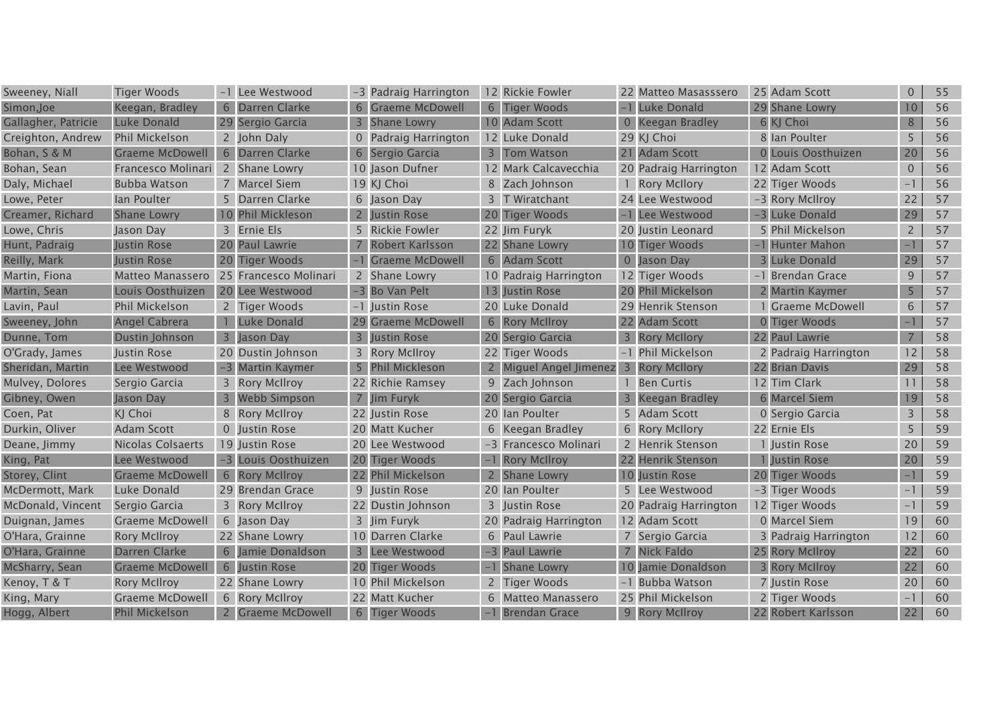| Sweeney, Niall      | <b>Tiger Woods</b>      |                | Lee Westwood          |                | -3 Padraig Harrington  | 12 Rickie Fowler                      | 22 Matteo Masasssero  | 25 Adam Scott          | $\overline{0}$  | 55 |
|---------------------|-------------------------|----------------|-----------------------|----------------|------------------------|---------------------------------------|-----------------------|------------------------|-----------------|----|
| Simon, Joe          | Keegan, Bradley         | 6              | Darren Clarke         | 6              | <b>Graeme McDowell</b> | 6 Tiger Woods                         | -1 Luke Donald        | 29 Shane Lowry         | 10 <sup>°</sup> | 56 |
| Gallagher, Patricie | Luke Donald             |                | 29 Sergio Garcia      |                | <b>Shane Lowry</b>     | 10 Adam Scott                         | 0 Keegan Bradley      | 6 KJ Choi              | 8               | 56 |
| Creighton, Andrew   | Phil Mickelson          |                | 2 John Daly           |                | 0 Padraig Harrington   | 12 Luke Donald                        | 29 KJ Choi            | 8 Ian Poulter          | 5               | 56 |
| Bohan, S & M        | <b>Graeme McDowell</b>  |                | 6 Darren Clarke       |                | 6 Sergio Garcia        | 3 Tom Watson                          | 21 Adam Scott         | 0 Louis Oosthuizen     | 20              | 56 |
| Bohan, Sean         | Francesco Molinari      |                | 2 Shane Lowry         |                | 10 Jason Dufner        | 12 Mark Calcavecchia                  | 20 Padraig Harrington | 12 Adam Scott          | $\overline{0}$  | 56 |
| Daly, Michael       | <b>Bubba Watson</b>     |                | 7 Marcel Siem         |                | 19 KJ Choi             | 8 Zach Johnson                        | 1 Rory McIlory        | 22 Tiger Woods         | $-1$            | 56 |
| Lowe, Peter         | lan Poulter             |                | 5 Darren Clarke       |                | 6 Jason Day            | 3 T Wiratchant                        | 24 Lee Westwood       | -3 Rory McIlroy        | 22              | 57 |
| Creamer, Richard    | <b>Shane Lowry</b>      |                | 10 Phil Mickleson     |                | Justin Rose            | 20 Tiger Woods                        | -1 Lee Westwood       | -3 Luke Donald         | 29              | 57 |
| Lowe, Chris         | Jason Day               |                | 3 Ernie Els           |                | 5 Rickie Fowler        | 22 Jim Furyk                          | 20 Justin Leonard     | 5 Phil Mickelson       | $\overline{2}$  | 57 |
| Hunt, Padraig       | Justin Rose             |                | 20 Paul Lawrie        |                | <b>Robert Karlsson</b> | 22 Shane Lowry                        | 10 Tiger Woods        | <b>Hunter Mahon</b>    |                 | 57 |
| Reilly, Mark        | Justin Rose             |                | 20 Tiger Woods        |                | <b>Graeme McDowell</b> | 6 Adam Scott                          | 0 Jason Day           | 3 Luke Donald          | 29              | 57 |
| Martin, Fiona       | <b>Matteo Manassero</b> |                | 25 Francesco Molinari |                | 2 Shane Lowry          | 10 Padraig Harrington                 | 12 Tiger Woods        | -1 Brendan Grace       | 9               | 57 |
| Martin, Sean        | Louis Oosthuizen        |                | 20 Lee Westwood       |                | -3 Bo Van Pelt         | 13 Justin Rose                        | 20 Phil Mickelson     | 2 Martin Kaymer        | 5               | 57 |
| Lavin, Paul         | <b>Phil Mickelson</b>   |                | 2 Tiger Woods         |                | -1 Justin Rose         | 20 Luke Donald                        | 29 Henrik Stenson     | <b>Graeme McDowell</b> | 6               | 57 |
| Sweeney, John       | <b>Angel Cabrera</b>    |                | Luke Donald           |                | <b>Graeme McDowell</b> | 6 Rory McIlroy                        | 22 Adam Scott         | 0 Tiger Woods          | -1              | 57 |
| Dunne, Tom          | Dustin Johnson          | 3              | Jason Day             | $\overline{3}$ | <b>Justin Rose</b>     | 20 Sergio Garcia                      | 3 Rory McIlory        | 22 Paul Lawrie         | $\overline{7}$  | 58 |
| O'Grady, James      | Justin Rose             |                | 20 Dustin Johnson     |                | 3 Rory McIIroy         | 22 Tiger Woods                        | -1 Phil Mickelson     | 2 Padraig Harrington   | 12              | 58 |
| Sheridan, Martin    | Lee Westwood            |                | -3 Martin Kaymer      |                | 5 Phil Mickleson       | 2 Miguel Angel Jimenez 3 Rory McIlory |                       | 22 Brian Davis         | 29              | 58 |
| Mulvey, Dolores     | Sergio Garcia           |                | 3 Rory McIlroy        |                | 22 Richie Ramsey       | 9 Zach Johnson                        | 1 Ben Curtis          | 12 Tim Clark           | 11              | 58 |
| Gibney, Owen        | Jason Day               | 3              | <b>Webb Simpson</b>   |                | 7 Jim Furyk            | 20 Sergio Garcia                      | 3 Keegan Bradley      | 6 Marcel Siem          | 19              | 58 |
| Coen, Pat           | KJ Choi                 |                | 8 Rory McIlroy        |                | 22 Justin Rose         | 20 Ian Poulter                        | 5 Adam Scott          | 0 Sergio Garcia        | 3               | 58 |
| Durkin, Oliver      | <b>Adam Scott</b>       | $\overline{0}$ | Justin Rose           |                | 20 Matt Kucher         | 6 Keegan Bradley                      | 6 Rory McIlory        | 22 Ernie Els           | 5               | 59 |
| Deane, Jimmy        | Nicolas Colsaerts       |                | 19 Justin Rose        |                | 20 Lee Westwood        | -3 Francesco Molinari                 | 2 Henrik Stenson      | 1 Justin Rose          | 20              | 59 |
| King, Pat           | Lee Westwood            |                | Louis Oosthuizen      |                | 20 Tiger Woods         | -1 Rory McIlroy                       | 22 Henrik Stenson     | 1 Justin Rose          | 20              | 59 |
| Storey, Clint       | <b>Graeme McDowell</b>  |                | 6 Rory McIlroy        |                | 22 Phil Mickelson      | Shane Lowry                           | 10 Justin Rose        | 20 Tiger Woods         | -1              | 59 |
| McDermott, Mark     | Luke Donald             |                | 29 Brendan Grace      |                | 9 Justin Rose          | 20 Ian Poulter                        | 5 Lee Westwood        | -3 Tiger Woods         | $\Box$          | 59 |
| McDonald, Vincent   | Sergio Garcia           |                | 3 Rory McIlroy        |                | 22 Dustin Johnson      | 3 Justin Rose                         | 20 Padraig Harrington | 12 Tiger Woods         | $-1$            | 59 |
| Duignan, James      | Graeme McDowell         |                | 6 Jason Day           |                | 3 Jim Furyk            | 20 Padraig Harrington                 | 12 Adam Scott         | 0 Marcel Siem          | 19              | 60 |
| O'Hara, Grainne     | <b>Rory McIlroy</b>     |                | 22 Shane Lowry        |                | 10 Darren Clarke       | 6 Paul Lawrie                         | 7 Sergio Garcia       | 3 Padraig Harrington   | 12              | 60 |
| O'Hara, Grainne     | Darren Clarke           |                | 6 Jamie Donaldson     |                | 3 Lee Westwood         | -3 Paul Lawrie                        | 7 Nick Faldo          | 25 Rory McIlroy        | 22              | 60 |
| McSharry, Sean      | <b>Graeme McDowell</b>  |                | 6 Justin Rose         |                | 20 Tiger Woods         | 1 Shane Lowry                         | 10 Jamie Donaldson    | 3 Rory McIlroy         | 22              | 60 |
| Kenoy, T & T        | <b>Rory McIlroy</b>     |                | 22 Shane Lowry        |                | 10 Phil Mickelson      | 2 Tiger Woods                         | -1 Bubba Watson       | 7 Justin Rose          | 20              | 60 |
| King, Mary          | Graeme McDowell         |                | 6 Rory McIlroy        |                | 22 Matt Kucher         | 6 Matteo Manassero                    | 25 Phil Mickelson     | 2 Tiger Woods          | $-1$            | 60 |
| Hogg, Albert        | Phil Mickelson          |                | 2 Graeme McDowell     |                | 6 Tiger Woods          | -1 Brendan Grace                      | 9 Rory McIlroy        | 22 Robert Karlsson     | 22              | 60 |
|                     |                         |                |                       |                |                        |                                       |                       |                        |                 |    |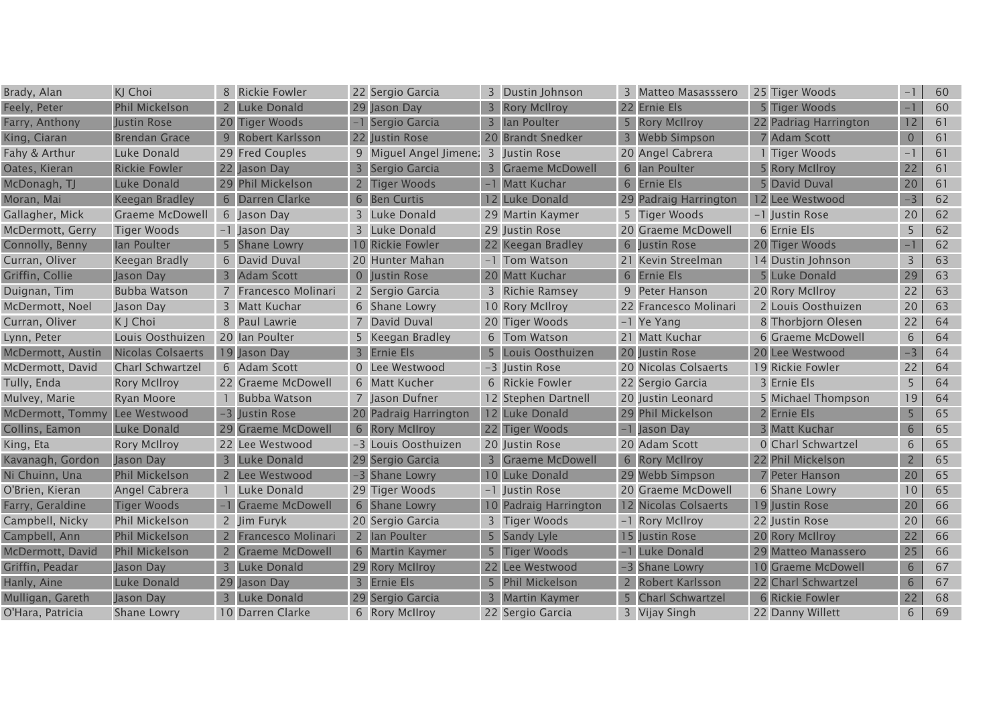| Brady, Alan             | KJ Choi                  |                | 8 Rickie Fowler        |                 | 22 Sergio Garcia       | 3 | Dustin Johnson         | 3 Matteo Masasssero   | 25 Tiger Woods         | $\qquad \qquad -$        | 60 |
|-------------------------|--------------------------|----------------|------------------------|-----------------|------------------------|---|------------------------|-----------------------|------------------------|--------------------------|----|
| Feely, Peter            | Phil Mickelson           | $\mathbf{2}$   | <b>Luke Donald</b>     |                 | 29 Jason Day           |   | <b>Rory McIlroy</b>    | 22 Ernie Els          | 5 Tiger Woods          | $\overline{\phantom{0}}$ | 60 |
| Farry, Anthony          | Justin Rose              |                | 20 Tiger Woods         |                 | Sergio Garcia          |   | lan Poulter            | 5 Rory McIlroy        | 22 Padriag Harrington  | 12                       | 61 |
| King, Ciaran            | <b>Brendan Grace</b>     |                | Robert Karlsson        |                 | 22 Justin Rose         |   | 20 Brandt Snedker      | 3 Webb Simpson        | <b>7 Adam Scott</b>    | $\overline{0}$           | 61 |
| Fahy & Arthur           | Luke Donald              |                | 29 Fred Couples        |                 | 9 Miguel Angel Jimene: |   | 3 Justin Rose          | 20 Angel Cabrera      | <b>Tiger Woods</b>     | $-1$                     | 61 |
| Oates, Kieran           | <b>Rickie Fowler</b>     |                | 22 Jason Day           |                 | Sergio Garcia          |   | 3 Graeme McDowell      | 6 Ian Poulter         | 5 Rory McIlroy         | 22                       | 61 |
| McDonagh, TJ            | Luke Donald              | 29             | <b>Phil Mickelson</b>  |                 | <b>Tiger Woods</b>     |   | -1 Matt Kuchar         | 6 Ernie Els           | 5 David Duval          | 20                       | 61 |
| Moran, Mai              | <b>Keegan Bradley</b>    | 6              | Darren Clarke          | 6               | <b>Ben Curtis</b>      |   | 12 Luke Donald         | 29 Padraig Harrington | 12 Lee Westwood        | $-3$                     | 62 |
| Gallagher, Mick         | Graeme McDowell          |                | 6 Jason Day            |                 | 3 Luke Donald          |   | 29 Martin Kaymer       | 5 Tiger Woods         | -1 Justin Rose         | 20                       | 62 |
| McDermott, Gerry        | <b>Tiger Woods</b>       |                | -1 Jason Day           |                 | 3 Luke Donald          |   | 29 Justin Rose         | 20 Graeme McDowell    | 6 Ernie Els            | 5                        | 62 |
| Connolly, Benny         | lan Poulter              |                | <b>Shane Lowry</b>     | 10 <sup>°</sup> | <b>Rickie Fowler</b>   |   | 22 Keegan Bradley      | 6 Justin Rose         | 20 Tiger Woods         |                          | 62 |
| Curran, Oliver          | Keegan Bradly            |                | 6 David Duval          |                 | 20 Hunter Mahan        |   | -1 Tom Watson          | 21 Kevin Streelman    | 14 Dustin Johnson      | 3                        | 63 |
| Griffin, Collie         | Jason Day                | 3              | <b>Adam Scott</b>      |                 | 0 Justin Rose          |   | 20 Matt Kuchar         | 6 Ernie Els           | 5 Luke Donald          | 29                       | 63 |
| Duignan, Tim            | <b>Bubba Watson</b>      |                | Francesco Molinari     |                 | 2 Sergio Garcia        |   | 3 Richie Ramsey        | 9 Peter Hanson        | 20 Rory McIlroy        | 22                       | 63 |
| McDermott, Noel         | Jason Day                |                | 3 Matt Kuchar          |                 | 6 Shane Lowry          |   | 10 Rory McIlroy        | 22 Francesco Molinari | 2 Louis Oosthuizen     | 20                       | 63 |
| Curran, Oliver          | K J Choi                 |                | 8 Paul Lawrie          |                 | David Duval            |   | 20 Tiger Woods         | -1 Ye Yang            | 8 Thorbjorn Olesen     | 22                       | 64 |
| Lynn, Peter             | Louis Oosthuizen         |                | 20 Ian Poulter         |                 | 5 Keegan Bradley       |   | 6 Tom Watson           | 21 Matt Kuchar        | 6 Graeme McDowell      | 6                        | 64 |
| McDermott, Austin       | <b>Nicolas Colsaerts</b> |                | 19 Jason Day           |                 | <b>Ernie Els</b>       |   | Louis Oosthuizen       | 20 Justin Rose        | 20 Lee Westwood        | $-3$                     | 64 |
| McDermott, David        | <b>Charl Schwartzel</b>  |                | 6 Adam Scott           |                 | 0 Lee Westwood         |   | -3 Justin Rose         | 20 Nicolas Colsaerts  | 19 Rickie Fowler       | 22                       | 64 |
| Tully, Enda             | <b>Rory McIlroy</b>      |                | 22 Graeme McDowell     |                 | 6 Matt Kucher          |   | 6 Rickie Fowler        | 22 Sergio Garcia      | 3 Ernie Els            | 5                        | 64 |
| Mulvey, Marie           | Ryan Moore               |                | <b>Bubba Watson</b>    |                 | 7 Jason Dufner         |   | 12 Stephen Dartnell    | 20 Justin Leonard     | 5 Michael Thompson     | 19                       | 64 |
| <b>McDermott, Tommy</b> | Lee Westwood             | $-3$           | Justin Rose            |                 | 20 Padraig Harrington  |   | 12 Luke Donald         | 29 Phil Mickelson     | 2 Ernie Els            | 5                        | 65 |
| Collins, Eamon          | Luke Donald              | 29             | <b>Graeme McDowell</b> |                 | 6 Rory McIIroy         |   | 22 Tiger Woods         | -1 Jason Day          | 3 Matt Kuchar          | 6                        | 65 |
| King, Eta               | <b>Rory McIlroy</b>      |                | 22 Lee Westwood        |                 | -3 Louis Oosthuizen    |   | 20 Justin Rose         | 20 Adam Scott         | 0 Charl Schwartzel     | 6                        | 65 |
| Kavanagh, Gordon        | Jason Day                | $\overline{3}$ | <b>Luke Donald</b>     | 29              | Sergio Garcia          | 3 | <b>Graeme McDowell</b> | 6 Rory McIlroy        | 22 Phil Mickelson      | $\overline{2}$           | 65 |
| Ni Chuinn, Una          | <b>Phil Mickelson</b>    |                | Lee Westwood           |                 | <b>Shane Lowry</b>     |   | 10 Luke Donald         | 29 Webb Simpson       | <b>7 Peter Hanson</b>  | 20                       | 65 |
| O'Brien, Kieran         | Angel Cabrera            |                | Luke Donald            |                 | 29 Tiger Woods         |   | -1 Justin Rose         | 20 Graeme McDowell    | 6 Shane Lowry          | 10                       | 65 |
| Farry, Geraldine        | <b>Tiger Woods</b>       |                | <b>Graeme McDowell</b> |                 | 6 Shane Lowry          |   | 10 Padraig Harrington  | 12 Nicolas Colsaerts  | 19 Justin Rose         | 20                       | 66 |
| Campbell, Nicky         | Phil Mickelson           |                | 2 Jim Furyk            |                 | 20 Sergio Garcia       |   | 3 Tiger Woods          | -1 Rory McIlroy       | 22 Justin Rose         | 20                       | 66 |
| Campbell, Ann           | <b>Phil Mickelson</b>    |                | Francesco Molinari     |                 | 2 Ian Poulter          |   | 5 Sandy Lyle           | 15 Justin Rose        | 20 Rory McIlroy        | 22                       | 66 |
| McDermott, David        | <b>Phil Mickelson</b>    | $\overline{2}$ | <b>Graeme McDowell</b> |                 | 6 Martin Kaymer        | 5 | Tiger Woods            | -1 Luke Donald        | 29 Matteo Manassero    | 25                       | 66 |
| Griffin, Peadar         | Jason Day                | $\overline{3}$ | <b>Luke Donald</b>     |                 | 29 Rory McIIroy        |   | 22 Lee Westwood        | -3 Shane Lowry        | 10 Graeme McDowell     | 6                        | 67 |
| Hanly, Aine             | <b>Luke Donald</b>       | 29             | Jason Day              | $\overline{3}$  | <b>Ernie Els</b>       |   | <b>Phil Mickelson</b>  | Robert Karlsson       | 22 Charl Schwartzel    | 6                        | 67 |
| Mulligan, Gareth        | Jason Day                |                | <b>Luke Donald</b>     |                 | 29 Sergio Garcia       |   | <b>Martin Kaymer</b>   | 5 Charl Schwartzel    | <b>6 Rickie Fowler</b> | 22                       | 68 |
| O'Hara, Patricia        | <b>Shane Lowry</b>       |                | 10 Darren Clarke       |                 | 6 Rory McIIroy         |   | 22 Sergio Garcia       | 3 Vijay Singh         | 22 Danny Willett       | 6                        | 69 |
|                         |                          |                |                        |                 |                        |   |                        |                       |                        |                          |    |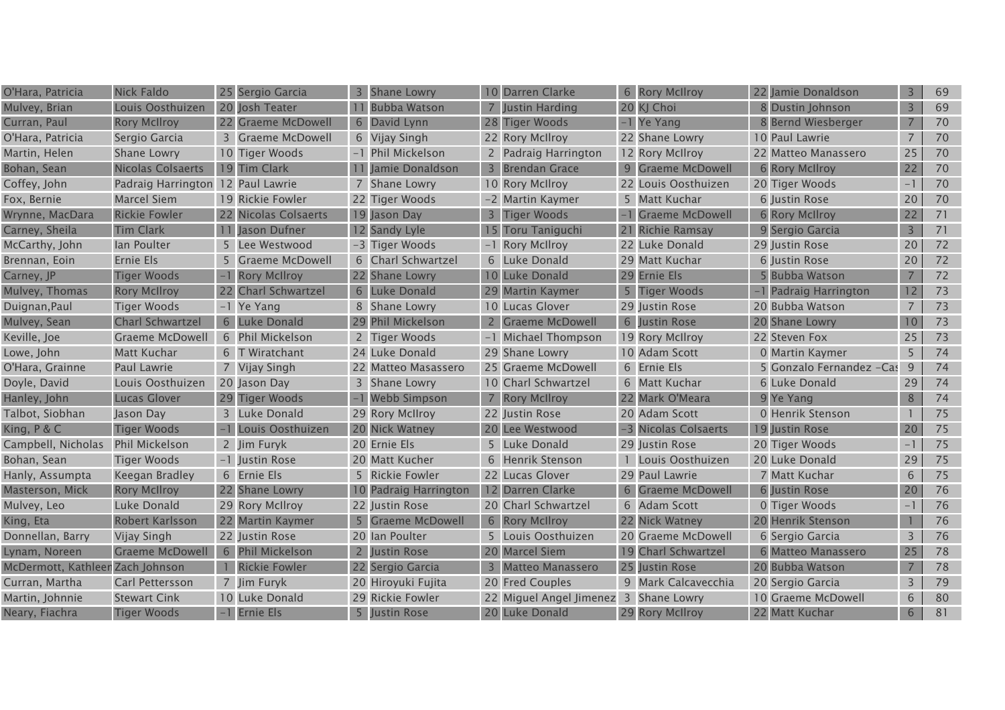| O'Hara, Patricia                 | <b>Nick Faldo</b>                 |    | 25 Sergio Garcia        | 3              | <b>Shane Lowry</b>     |   | 10 Darren Clarke                      | 6 Rory McIlroy       | 22 Jamie Donaldson       | 3              | 69 |
|----------------------------------|-----------------------------------|----|-------------------------|----------------|------------------------|---|---------------------------------------|----------------------|--------------------------|----------------|----|
| Mulvey, Brian                    | Louis Oosthuizen                  |    | 20 Josh Teater          |                | Bubba Watson           |   | Justin Harding                        | 20 KJ Choi           | 8 Dustin Johnson         | 3              | 69 |
| Curran, Paul                     | <b>Rory McIlroy</b>               |    | 22 Graeme McDowell      | 6              | David Lynn             |   | 28 Tiger Woods                        | -1 Ye Yang           | 8 Bernd Wiesberger       | $\overline{7}$ | 70 |
| O'Hara, Patricia                 | Sergio Garcia                     |    | <b>Graeme McDowell</b>  |                | 6 Vijay Singh          |   | 22 Rory McIlroy                       | 22 Shane Lowry       | 10 Paul Lawrie           | $\overline{7}$ | 70 |
| Martin, Helen                    | <b>Shane Lowry</b>                |    | 10 Tiger Woods          |                | -1 Phil Mickelson      |   | 2 Padraig Harrington                  | 12 Rory McIlroy      | 22 Matteo Manassero      | 25             | 70 |
| Bohan, Sean                      | <b>Nicolas Colsaerts</b>          |    | 19 Tim Clark            |                | Jamie Donaldson        |   | 3 Brendan Grace                       | 9 Graeme McDowell    | 6 Rory McIlroy           | 22             | 70 |
| Coffey, John                     | Padraig Harrington 12 Paul Lawrie |    |                         |                | 7 Shane Lowry          |   | 10 Rory McIlroy                       | 22 Louis Oosthuizen  | 20 Tiger Woods           | $-1$           | 70 |
| Fox, Bernie                      | <b>Marcel Siem</b>                |    | 19 Rickie Fowler        |                | 22 Tiger Woods         |   | -2 Martin Kaymer                      | 5 Matt Kuchar        | 6 Justin Rose            | 20             | 70 |
| Wrynne, MacDara                  | <b>Rickie Fowler</b>              |    | 22 Nicolas Colsaerts    |                | 19 Jason Day           | 3 | Tiger Woods                           | -1 Graeme McDowell   | <b>6 Rory McIlroy</b>    | 22             | 71 |
| Carney, Sheila                   | <b>Tim Clark</b>                  | 11 | Jason Dufner            |                | 12 Sandy Lyle          |   | 15 Toru Taniguchi                     | 21 Richie Ramsay     | 9 Sergio Garcia          | $\overline{3}$ | 71 |
| McCarthy, John                   | lan Poulter                       |    | Lee Westwood            |                | -3 Tiger Woods         |   | -1 Rory McIlroy                       | 22 Luke Donald       | 29 Justin Rose           | 20             | 72 |
| Brennan, Eoin                    | Ernie Els                         |    | <b>Graeme McDowell</b>  |                | 6 Charl Schwartzel     |   | 6 Luke Donald                         | 29 Matt Kuchar       | 6 Justin Rose            | 20             | 72 |
| Carney, JP                       | <b>Tiger Woods</b>                |    | <b>Rory McIlroy</b>     |                | 22 Shane Lowry         |   | 10 Luke Donald                        | 29 Ernie Els         | 5 Bubba Watson           | $\overline{7}$ | 72 |
| Mulvey, Thomas                   | <b>Rory McIlroy</b>               | 22 | <b>Charl Schwartzel</b> | 6              | Luke Donald            |   | 29 Martin Kaymer                      | 5 Tiger Woods        | -1 Padraig Harrington    | 12             | 73 |
| Duignan, Paul                    | <b>Tiger Woods</b>                |    | -1 Ye Yang              |                | 8 Shane Lowry          |   | 10 Lucas Glover                       | 29 Justin Rose       | 20 Bubba Watson          | $\overline{7}$ | 73 |
| Mulvey, Sean                     | <b>Charl Schwartzel</b>           | 6  | Luke Donald             |                | <b>Phil Mickelson</b>  |   | 2 Graeme McDowell                     | 6 Justin Rose        | 20 Shane Lowry           | 10             | 73 |
| Keville, Joe                     | Graeme McDowell                   |    | 6 Phil Mickelson        |                | 2 Tiger Woods          |   | -1 Michael Thompson                   | 19 Rory McIlroy      | 22 Steven Fox            | 25             | 73 |
| Lowe, John                       | Matt Kuchar                       |    | 6 T Wiratchant          |                | 24 Luke Donald         |   | 29 Shane Lowry                        | 10 Adam Scott        | 0 Martin Kaymer          | 5              | 74 |
| O'Hara, Grainne                  | Paul Lawrie                       |    | 7 Vijay Singh           |                | 22 Matteo Masassero    |   | 25 Graeme McDowell                    | 6 Ernie Els          | 5 Gonzalo Fernandez -Cas | 9              | 74 |
| Doyle, David                     | Louis Oosthuizen                  |    | 20 Jason Day            |                | 3 Shane Lowry          |   | 10 Charl Schwartzel                   | 6 Matt Kuchar        | 6 Luke Donald            | 29             | 74 |
| Hanley, John                     | <b>Lucas Glover</b>               |    | 29 Tiger Woods          |                | <b>Webb Simpson</b>    |   | 7 Rory McIlroy                        | 22 Mark O'Meara      | 9 Ye Yang                | 8              | 74 |
| Talbot, Siobhan                  | Jason Day                         |    | 3 Luke Donald           |                | 29 Rory McIIroy        |   | 22 Justin Rose                        | 20 Adam Scott        | 0 Henrik Stenson         |                | 75 |
| King, P & C                      | <b>Tiger Woods</b>                |    | Louis Oosthuizen        |                | 20 Nick Watney         |   | 20 Lee Westwood                       | -3 Nicolas Colsaerts | 19 Justin Rose           | 20             | 75 |
| Campbell, Nicholas               | Phil Mickelson                    |    | 2 Jim Furyk             |                | 20 Ernie Els           |   | 5 Luke Donald                         | 29 Justin Rose       | 20 Tiger Woods           | $-1$           | 75 |
| Bohan, Sean                      | Tiger Woods                       |    | -1 Justin Rose          |                | 20 Matt Kucher         | 6 | <b>Henrik Stenson</b>                 | Louis Oosthuizen     | 20 Luke Donald           | 29             | 75 |
| Hanly, Assumpta                  | Keegan Bradley                    |    | 6 Ernie Els             |                | 5 Rickie Fowler        |   | 22 Lucas Glover                       | 29 Paul Lawrie       | 7 Matt Kuchar            | 6              | 75 |
| Masterson, Mick                  | <b>Rory McIlroy</b>               |    | 22 Shane Lowry          |                | 10 Padraig Harrington  |   | 12 Darren Clarke                      | 6 Graeme McDowell    | 6 Justin Rose            | 20             | 76 |
| Mulvey, Leo                      | Luke Donald                       |    | 29 Rory McIlroy         |                | 22 Justin Rose         |   | 20 Charl Schwartzel                   | 6 Adam Scott         | 0 Tiger Woods            | $-1$           | 76 |
| King, Eta                        | Robert Karlsson                   |    | 22 Martin Kaymer        | 5 <sup>1</sup> | <b>Graeme McDowell</b> |   | 6 Rory McIlroy                        | 22 Nick Watney       | 20 Henrik Stenson        |                | 76 |
| Donnellan, Barry                 | Vijay Singh                       |    | 22 Justin Rose          |                | 20 Ian Poulter         |   | 5 Louis Oosthuizen                    | 20 Graeme McDowell   | 6 Sergio Garcia          | 3              | 76 |
| Lynam, Noreen                    | <b>Graeme McDowell</b>            |    | 6 Phil Mickelson        | $\overline{2}$ | Justin Rose            |   | 20 Marcel Siem                        | 19 Charl Schwartzel  | 6 Matteo Manassero       | 25             | 78 |
| McDermott, Kathleer Zach Johnson |                                   |    | <b>Rickie Fowler</b>    |                | 22 Sergio Garcia       |   | <b>Matteo Manassero</b>               | 25 Justin Rose       | 20 Bubba Watson          | $\overline{7}$ | 78 |
| Curran, Martha                   | Carl Pettersson                   |    | 7 Jim Furyk             |                | 20 Hiroyuki Fujita     |   | 20 Fred Couples                       | 9 Mark Calcavecchia  | 20 Sergio Garcia         | 3              | 79 |
| Martin, Johnnie                  | <b>Stewart Cink</b>               |    | 10 Luke Donald          |                | 29 Rickie Fowler       |   | 22 Miguel Angel Jimenez 3 Shane Lowry |                      | 10 Graeme McDowell       | 6              | 80 |
| Neary, Fiachra                   | <b>Tiger Woods</b>                |    | -1 Ernie Els            |                | 5 Justin Rose          |   | 20 Luke Donald                        | 29 Rory McIlroy      | 22 Matt Kuchar           | 6              | 81 |
|                                  |                                   |    |                         |                |                        |   |                                       |                      |                          |                |    |